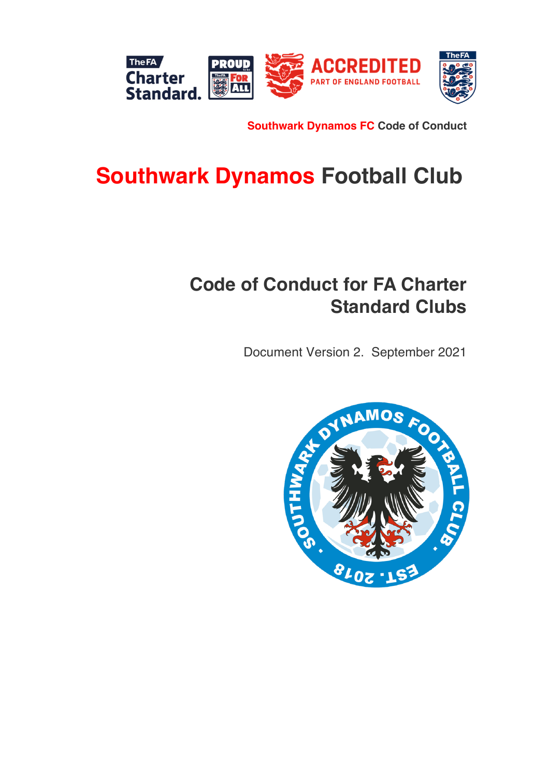

**Southwark Dynamos FC Code of Conduct**

# **Southwark Dynamos Football Club**

## **Code of Conduct for FA Charter Standard Clubs**

Document Version 2. September 2021

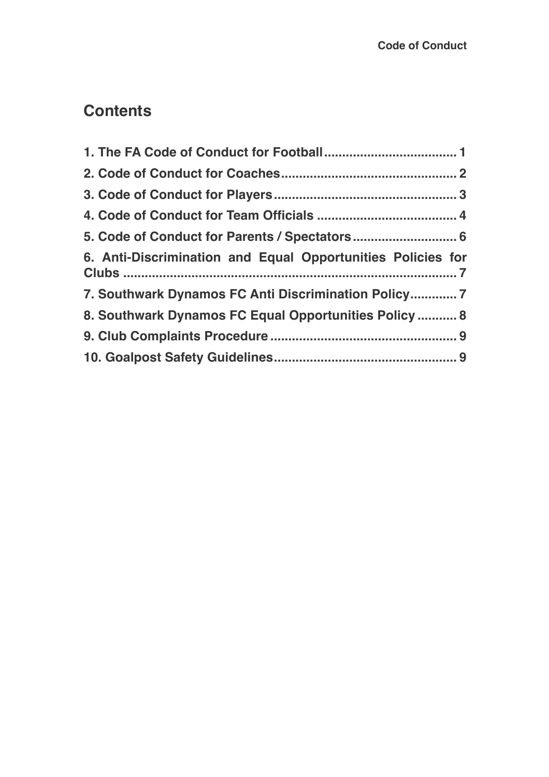### **Contents**

| 6. Anti-Discrimination and Equal Opportunities Policies for |
|-------------------------------------------------------------|
| 7. Southwark Dynamos FC Anti Discrimination Policy 7        |
| 8. Southwark Dynamos FC Equal Opportunities Policy  8       |
|                                                             |
|                                                             |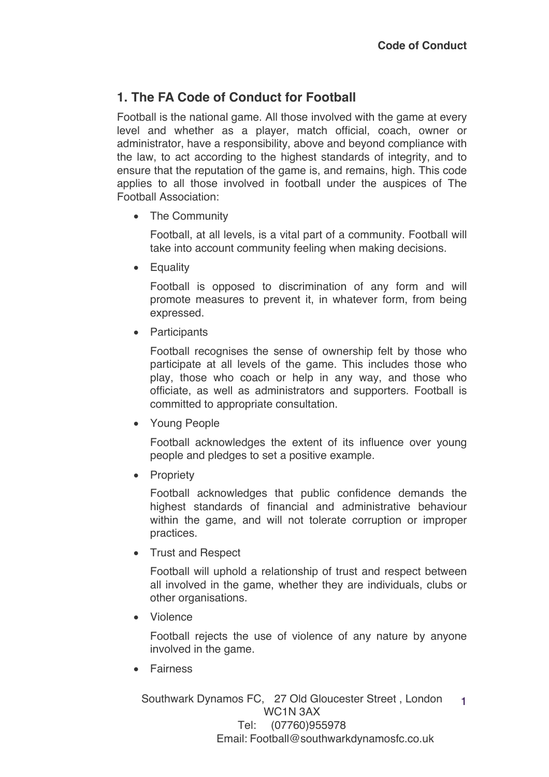#### **1. The FA Code of Conduct for Football**

Football is the national game. All those involved with the game at every level and whether as a player, match official, coach, owner or administrator, have a responsibility, above and beyond compliance with the law, to act according to the highest standards of integrity, and to ensure that the reputation of the game is, and remains, high. This code applies to all those involved in football under the auspices of The Football Association:

• The Community

Football, at all levels, is a vital part of a community. Football will take into account community feeling when making decisions.

• Equality

Football is opposed to discrimination of any form and will promote measures to prevent it, in whatever form, from being expressed.

• Participants

Football recognises the sense of ownership felt by those who participate at all levels of the game. This includes those who play, those who coach or help in any way, and those who officiate, as well as administrators and supporters. Football is committed to appropriate consultation.

• Young People

Football acknowledges the extent of its influence over young people and pledges to set a positive example.

• Propriety

Football acknowledges that public confidence demands the highest standards of financial and administrative behaviour within the game, and will not tolerate corruption or improper practices.

• Trust and Respect

Football will uphold a relationship of trust and respect between all involved in the game, whether they are individuals, clubs or other organisations.

• Violence

Football rejects the use of violence of any nature by anyone involved in the game.

• Fairness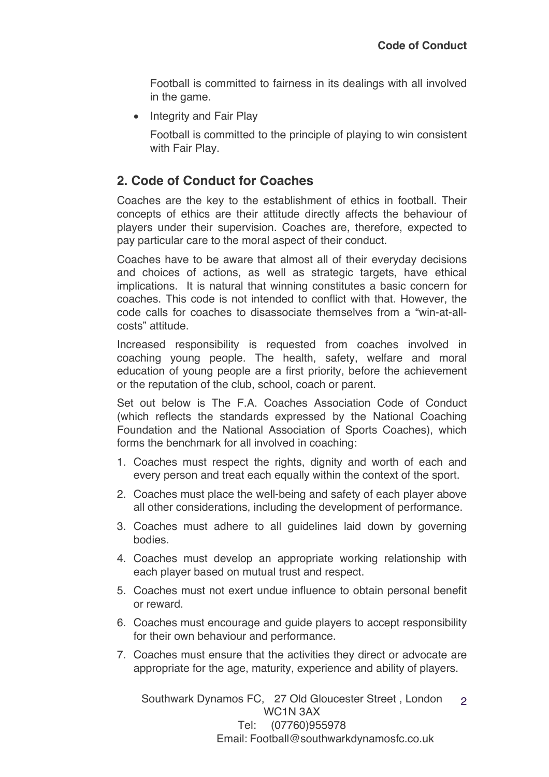Football is committed to fairness in its dealings with all involved in the game.

• Integrity and Fair Play

Football is committed to the principle of playing to win consistent with Fair Play.

#### **2. Code of Conduct for Coaches**

Coaches are the key to the establishment of ethics in football. Their concepts of ethics are their attitude directly affects the behaviour of players under their supervision. Coaches are, therefore, expected to pay particular care to the moral aspect of their conduct.

Coaches have to be aware that almost all of their everyday decisions and choices of actions, as well as strategic targets, have ethical implications. It is natural that winning constitutes a basic concern for coaches. This code is not intended to conflict with that. However, the code calls for coaches to disassociate themselves from a "win-at-allcosts" attitude.

Increased responsibility is requested from coaches involved in coaching young people. The health, safety, welfare and moral education of young people are a first priority, before the achievement or the reputation of the club, school, coach or parent.

Set out below is The F.A. Coaches Association Code of Conduct (which reflects the standards expressed by the National Coaching Foundation and the National Association of Sports Coaches), which forms the benchmark for all involved in coaching:

- 1. Coaches must respect the rights, dignity and worth of each and every person and treat each equally within the context of the sport.
- 2. Coaches must place the well-being and safety of each player above all other considerations, including the development of performance.
- 3. Coaches must adhere to all guidelines laid down by governing bodies.
- 4. Coaches must develop an appropriate working relationship with each player based on mutual trust and respect.
- 5. Coaches must not exert undue influence to obtain personal benefit or reward.
- 6. Coaches must encourage and guide players to accept responsibility for their own behaviour and performance.
- 7. Coaches must ensure that the activities they direct or advocate are appropriate for the age, maturity, experience and ability of players.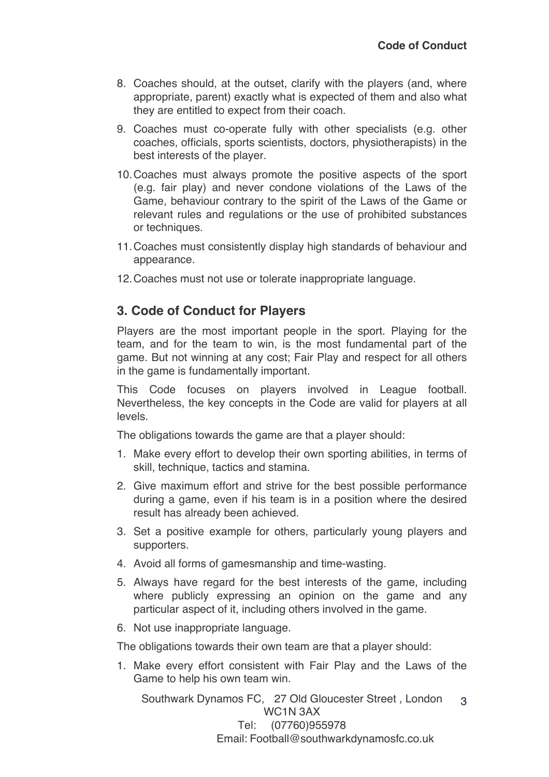- 8. Coaches should, at the outset, clarify with the players (and, where appropriate, parent) exactly what is expected of them and also what they are entitled to expect from their coach.
- 9. Coaches must co-operate fully with other specialists (e.g. other coaches, officials, sports scientists, doctors, physiotherapists) in the best interests of the player.
- 10.Coaches must always promote the positive aspects of the sport (e.g. fair play) and never condone violations of the Laws of the Game, behaviour contrary to the spirit of the Laws of the Game or relevant rules and regulations or the use of prohibited substances or techniques.
- 11.Coaches must consistently display high standards of behaviour and appearance.
- 12.Coaches must not use or tolerate inappropriate language.

#### **3. Code of Conduct for Players**

Players are the most important people in the sport. Playing for the team, and for the team to win, is the most fundamental part of the game. But not winning at any cost; Fair Play and respect for all others in the game is fundamentally important.

This Code focuses on players involved in League football. Nevertheless, the key concepts in the Code are valid for players at all levels.

The obligations towards the game are that a player should:

- 1. Make every effort to develop their own sporting abilities, in terms of skill, technique, tactics and stamina.
- 2. Give maximum effort and strive for the best possible performance during a game, even if his team is in a position where the desired result has already been achieved.
- 3. Set a positive example for others, particularly young players and supporters.
- 4. Avoid all forms of gamesmanship and time-wasting.
- 5. Always have regard for the best interests of the game, including where publicly expressing an opinion on the game and any particular aspect of it, including others involved in the game.
- 6. Not use inappropriate language.

The obligations towards their own team are that a player should:

1. Make every effort consistent with Fair Play and the Laws of the Game to help his own team win.

Southwark Dynamos FC, 27 Old Gloucester Street , London WC1N 3AX Tel: (07760)955978 3

Email: Football@southwarkdynamosfc.co.uk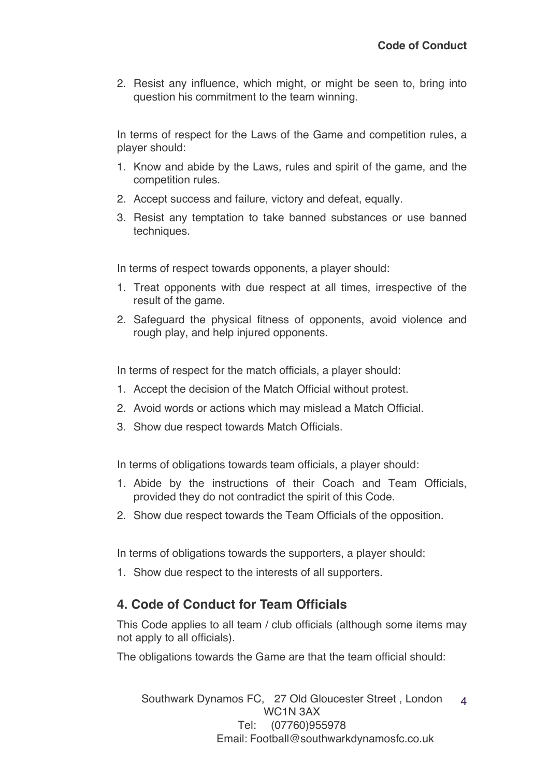2. Resist any influence, which might, or might be seen to, bring into question his commitment to the team winning.

In terms of respect for the Laws of the Game and competition rules, a player should:

- 1. Know and abide by the Laws, rules and spirit of the game, and the competition rules.
- 2. Accept success and failure, victory and defeat, equally.
- 3. Resist any temptation to take banned substances or use banned techniques.

In terms of respect towards opponents, a player should:

- 1. Treat opponents with due respect at all times, irrespective of the result of the game.
- 2. Safeguard the physical fitness of opponents, avoid violence and rough play, and help injured opponents.

In terms of respect for the match officials, a player should:

- 1. Accept the decision of the Match Official without protest.
- 2. Avoid words or actions which may mislead a Match Official.
- 3. Show due respect towards Match Officials.

In terms of obligations towards team officials, a player should:

- 1. Abide by the instructions of their Coach and Team Officials, provided they do not contradict the spirit of this Code.
- 2. Show due respect towards the Team Officials of the opposition.

In terms of obligations towards the supporters, a player should:

1. Show due respect to the interests of all supporters.

#### **4. Code of Conduct for Team Officials**

This Code applies to all team / club officials (although some items may not apply to all officials).

The obligations towards the Game are that the team official should: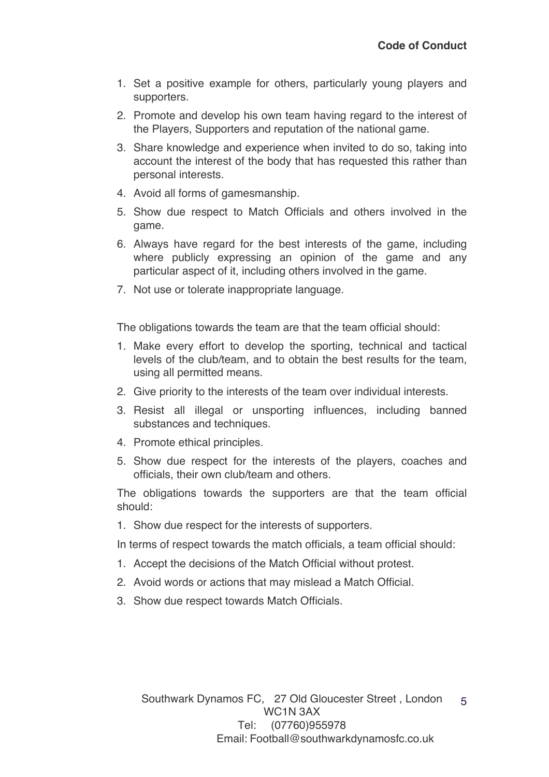- 1. Set a positive example for others, particularly young players and supporters.
- 2. Promote and develop his own team having regard to the interest of the Players, Supporters and reputation of the national game.
- 3. Share knowledge and experience when invited to do so, taking into account the interest of the body that has requested this rather than personal interests.
- 4. Avoid all forms of gamesmanship.
- 5. Show due respect to Match Officials and others involved in the game.
- 6. Always have regard for the best interests of the game, including where publicly expressing an opinion of the game and any particular aspect of it, including others involved in the game.
- 7. Not use or tolerate inappropriate language.

The obligations towards the team are that the team official should:

- 1. Make every effort to develop the sporting, technical and tactical levels of the club/team, and to obtain the best results for the team, using all permitted means.
- 2. Give priority to the interests of the team over individual interests.
- 3. Resist all illegal or unsporting influences, including banned substances and techniques.
- 4. Promote ethical principles.
- 5. Show due respect for the interests of the players, coaches and officials, their own club/team and others.

The obligations towards the supporters are that the team official should:

1. Show due respect for the interests of supporters.

In terms of respect towards the match officials, a team official should:

- 1. Accept the decisions of the Match Official without protest.
- 2. Avoid words or actions that may mislead a Match Official.
- 3. Show due respect towards Match Officials.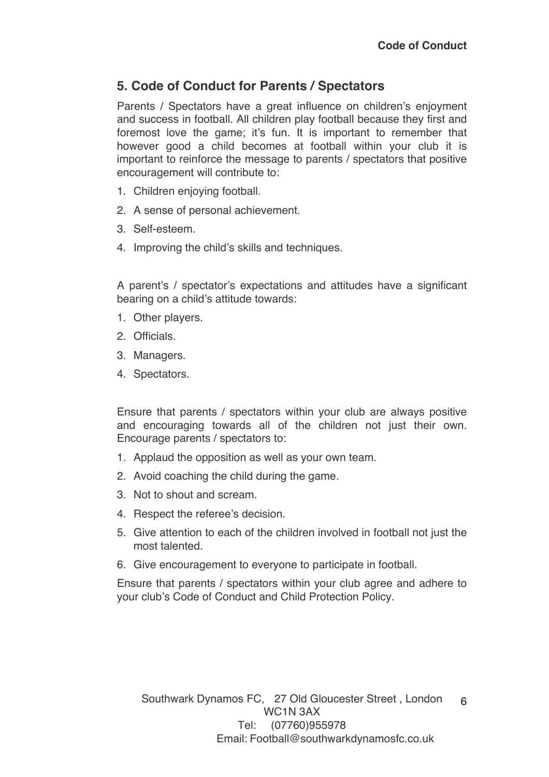#### **5. Code of Conduct for Parents / Spectators**

Parents / Spectators have a great influence on children's enjoyment and success in football. All children play football because they first and foremost love the game; it's fun. It is important to remember that however good a child becomes at football within your club it is important to reinforce the message to parents / spectators that positive encouragement will contribute to:

- 1. Children enjoying football.
- 2. A sense of personal achievement.
- 3. Self-esteem.
- 4. Improving the child's skills and techniques.

A parent's / spectator's expectations and attitudes have a significant bearing on a child's attitude towards:

- 1. Other players.
- 2. Officials.
- 3. Managers.
- 4. Spectators.

Ensure that parents / spectators within your club are always positive and encouraging towards all of the children not just their own. Encourage parents / spectators to:

- 1. Applaud the opposition as well as your own team.
- 2. Avoid coaching the child during the game.
- 3. Not to shout and scream.
- 4. Respect the referee's decision.
- 5. Give attention to each of the children involved in football not just the most talented.
- 6. Give encouragement to everyone to participate in football.

Ensure that parents / spectators within your club agree and adhere to your club's Code of Conduct and Child Protection Policy.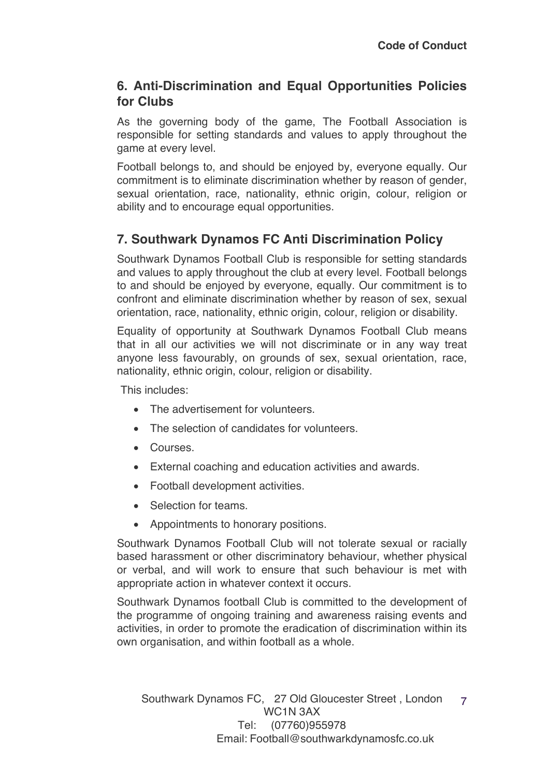#### **6. Anti-Discrimination and Equal Opportunities Policies for Clubs**

As the governing body of the game, The Football Association is responsible for setting standards and values to apply throughout the game at every level.

Football belongs to, and should be enjoyed by, everyone equally. Our commitment is to eliminate discrimination whether by reason of gender, sexual orientation, race, nationality, ethnic origin, colour, religion or ability and to encourage equal opportunities.

#### **7. Southwark Dynamos FC Anti Discrimination Policy**

Southwark Dynamos Football Club is responsible for setting standards and values to apply throughout the club at every level. Football belongs to and should be enjoyed by everyone, equally. Our commitment is to confront and eliminate discrimination whether by reason of sex, sexual orientation, race, nationality, ethnic origin, colour, religion or disability.

Equality of opportunity at Southwark Dynamos Football Club means that in all our activities we will not discriminate or in any way treat anyone less favourably, on grounds of sex, sexual orientation, race, nationality, ethnic origin, colour, religion or disability.

This includes:

- The advertisement for volunteers.
- The selection of candidates for volunteers.
- Courses.
- External coaching and education activities and awards.
- Football development activities.
- Selection for teams.
- Appointments to honorary positions.

Southwark Dynamos Football Club will not tolerate sexual or racially based harassment or other discriminatory behaviour, whether physical or verbal, and will work to ensure that such behaviour is met with appropriate action in whatever context it occurs.

Southwark Dynamos football Club is committed to the development of the programme of ongoing training and awareness raising events and activities, in order to promote the eradication of discrimination within its own organisation, and within football as a whole.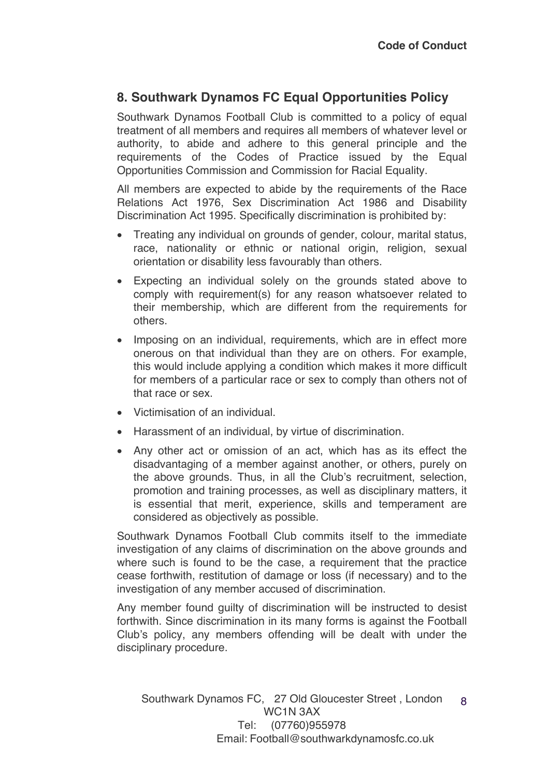#### **8. Southwark Dynamos FC Equal Opportunities Policy**

Southwark Dynamos Football Club is committed to a policy of equal treatment of all members and requires all members of whatever level or authority, to abide and adhere to this general principle and the requirements of the Codes of Practice issued by the Equal Opportunities Commission and Commission for Racial Equality.

All members are expected to abide by the requirements of the Race Relations Act 1976, Sex Discrimination Act 1986 and Disability Discrimination Act 1995. Specifically discrimination is prohibited by:

- Treating any individual on grounds of gender, colour, marital status, race, nationality or ethnic or national origin, religion, sexual orientation or disability less favourably than others.
- Expecting an individual solely on the grounds stated above to comply with requirement(s) for any reason whatsoever related to their membership, which are different from the requirements for others.
- Imposing on an individual, requirements, which are in effect more onerous on that individual than they are on others. For example, this would include applying a condition which makes it more difficult for members of a particular race or sex to comply than others not of that race or sex.
- Victimisation of an individual.
- Harassment of an individual, by virtue of discrimination.
- Any other act or omission of an act, which has as its effect the disadvantaging of a member against another, or others, purely on the above grounds. Thus, in all the Club's recruitment, selection, promotion and training processes, as well as disciplinary matters, it is essential that merit, experience, skills and temperament are considered as objectively as possible.

Southwark Dynamos Football Club commits itself to the immediate investigation of any claims of discrimination on the above grounds and where such is found to be the case, a requirement that the practice cease forthwith, restitution of damage or loss (if necessary) and to the investigation of any member accused of discrimination.

Any member found guilty of discrimination will be instructed to desist forthwith. Since discrimination in its many forms is against the Football Club's policy, any members offending will be dealt with under the disciplinary procedure.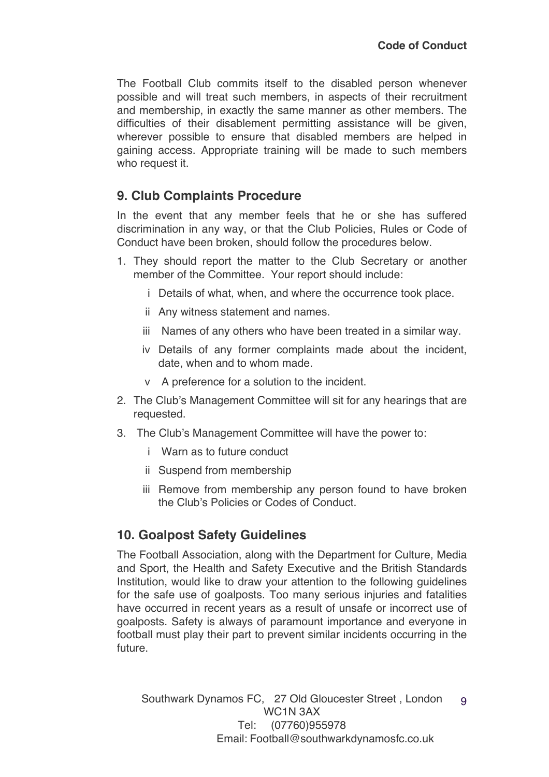The Football Club commits itself to the disabled person whenever possible and will treat such members, in aspects of their recruitment and membership, in exactly the same manner as other members. The difficulties of their disablement permitting assistance will be given, wherever possible to ensure that disabled members are helped in gaining access. Appropriate training will be made to such members who request it.

#### **9. Club Complaints Procedure**

In the event that any member feels that he or she has suffered discrimination in any way, or that the Club Policies, Rules or Code of Conduct have been broken, should follow the procedures below.

- 1. They should report the matter to the Club Secretary or another member of the Committee. Your report should include:
	- i Details of what, when, and where the occurrence took place.
	- ii Any witness statement and names.
	- iii Names of any others who have been treated in a similar way.
	- iv Details of any former complaints made about the incident, date, when and to whom made.
	- v A preference for a solution to the incident.
- 2. The Club's Management Committee will sit for any hearings that are requested.
- 3. The Club's Management Committee will have the power to:
	- i Warn as to future conduct
	- ii Suspend from membership
	- iii Remove from membership any person found to have broken the Club's Policies or Codes of Conduct.

#### **10. Goalpost Safety Guidelines**

The Football Association, along with the Department for Culture, Media and Sport, the Health and Safety Executive and the British Standards Institution, would like to draw your attention to the following guidelines for the safe use of goalposts. Too many serious injuries and fatalities have occurred in recent years as a result of unsafe or incorrect use of goalposts. Safety is always of paramount importance and everyone in football must play their part to prevent similar incidents occurring in the future.